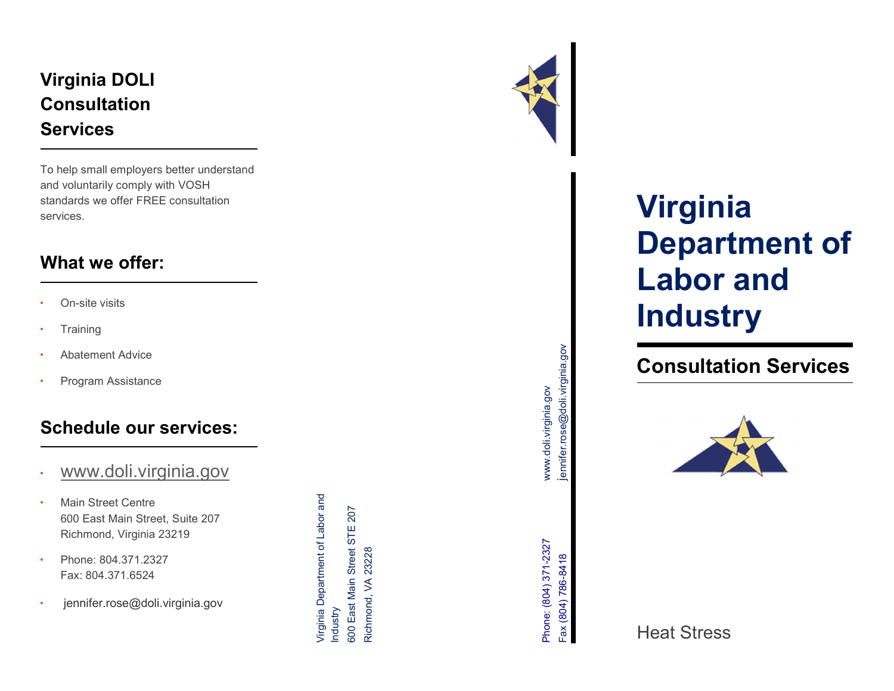## Virginia DOLI **Consultation Services**

To help small employers better understand and voluntarily comply with VOSH standards we offer FREE consultation services.

## What we offer:

- On-site visits
- **Training**
- Abatement Advice
- Program Assistance

## Schedule our services:

- www.doli.virginia.gov
- **Main Street Centre** 600 East Main Street, Suite 207 Richmond, Virginia 23219 • Abatement Advice<br>• Program Assistance<br>**SChedule our services:**<br>• <u>WWW.doli.Virginia.gov</u><br>• Main Steet Neart, Suite 207<br>Richmond, Virginia 23219<br>• Phone: 804.371.6524<br>• jennifer.rose@doli.virginia.gov<br>• jennifer.rose@dol
- Phone: 804.371.2327 Fax: 804.371.6524



# Virginia Department of Labor and **Industry**

# Consultation Services



Heat Stress